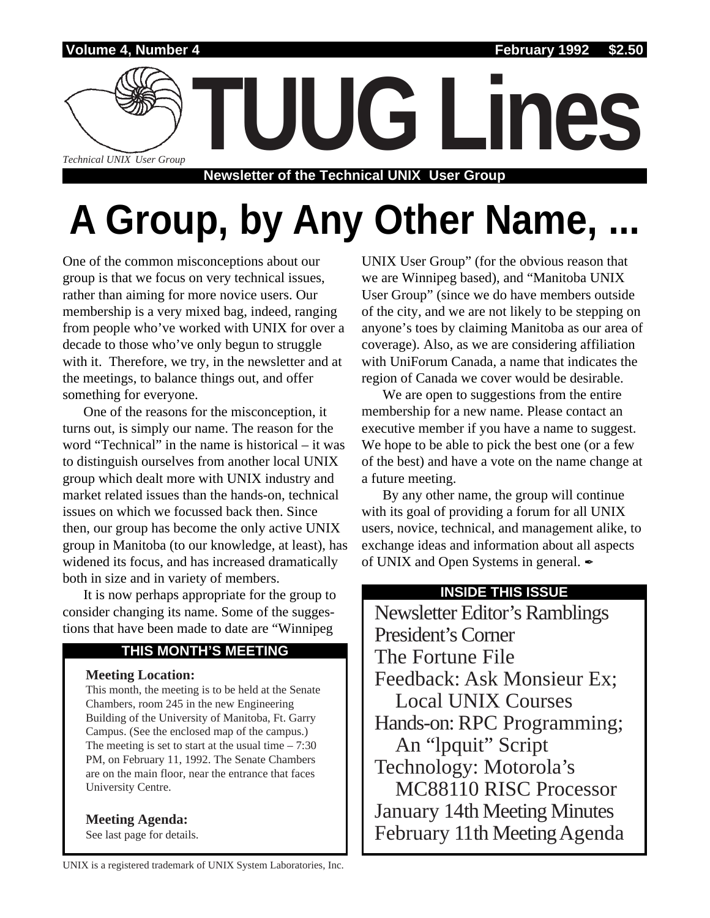

# A Group, by Any Other Name,

One of the common misconceptions about our group is that we focus on very technical issues, rather than aiming for more novice users. Our membership is a very mixed bag, indeed, ranging from people who've worked with UNIX for over a decade to those who've only begun to struggle with it. Therefore, we try, in the newsletter and at the meetings, to balance things out, and offer something for everyone.

One of the reasons for the misconception, it turns out, is simply our name. The reason for the word "Technical" in the name is historical – it was to distinguish ourselves from another local UNIX group which dealt more with UNIX industry and market related issues than the hands-on, technical issues on which we focussed back then. Since then, our group has become the only active UNIX group in Manitoba (to our knowledge, at least), has widened its focus, and has increased dramatically both in size and in variety of members.

It is now perhaps appropriate for the group to consider changing its name. Some of the suggestions that have been made to date are "Winnipeg

#### **THIS MONTH'S MEETING**

#### **Meeting Location:**

This month, the meeting is to be held at the Senate Chambers, room 245 in the new Engineering Building of the University of Manitoba, Ft. Garry Campus. (See the enclosed map of the campus.) The meeting is set to start at the usual time  $-7:30$ PM, on February 11, 1992. The Senate Chambers are on the main floor, near the entrance that faces University Centre.

**Meeting Agenda:**

See last page for details.

UNIX User Group" (for the obvious reason that we are Winnipeg based), and "Manitoba UNIX User Group" (since we do have members outside of the city, and we are not likely to be stepping on anyone's toes by claiming Manitoba as our area of coverage). Also, as we are considering affiliation with UniForum Canada, a name that indicates the region of Canada we cover would be desirable.

We are open to suggestions from the entire membership for a new name. Please contact an executive member if you have a name to suggest. We hope to be able to pick the best one (or a few of the best) and have a vote on the name change at a future meeting.

By any other name, the group will continue with its goal of providing a forum for all UNIX users, novice, technical, and management alike, to exchange ideas and information about all aspects of UNIX and Open Systems in general.  $\mathscr I$ 

#### **INSIDE THIS ISSUE**

Newsletter Editor's Ramblings President's Corner The Fortune File Feedback: Ask Monsieur Ex; Local UNIX Courses Hands-on: RPC Programming; An "lpquit" Script Technology: Motorola's MC88110 RISC Processor January 14th Meeting Minutes February 11th Meeting Agenda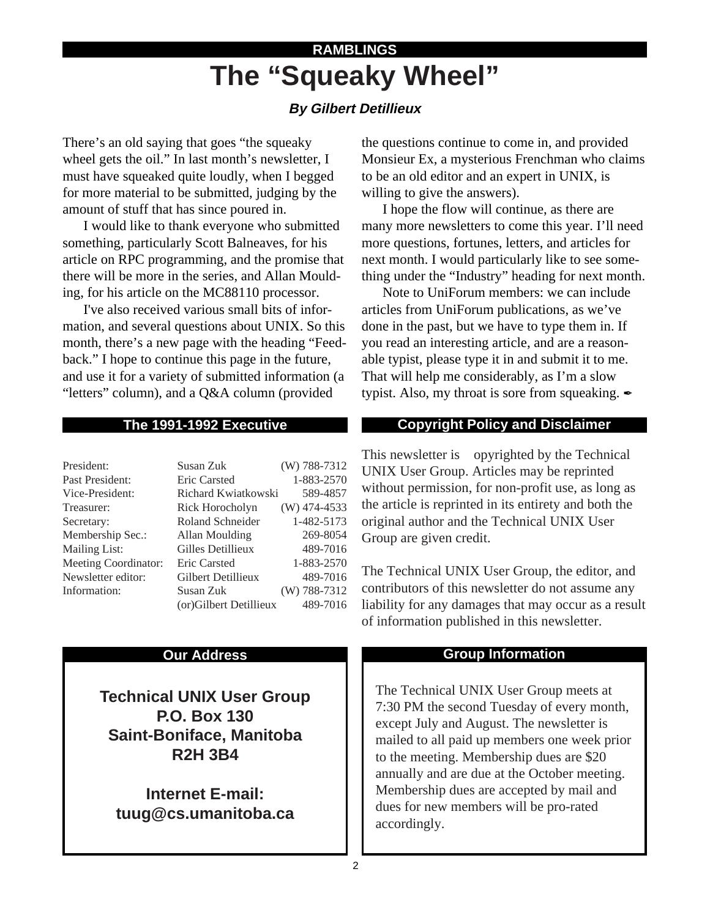# **The "Squeaky Wheel" RAMBLINGS**

#### **By Gilbert Detillieux**

There's an old saying that goes "the squeaky wheel gets the oil." In last month's newsletter, I must have squeaked quite loudly, when I begged for more material to be submitted, judging by the amount of stuff that has since poured in.

I would like to thank everyone who submitted something, particularly Scott Balneaves, for his article on RPC programming, and the promise that there will be more in the series, and Allan Moulding, for his article on the MC88110 processor.

I've also received various small bits of information, and several questions about UNIX. So this month, there's a new page with the heading "Feedback." I hope to continue this page in the future, and use it for a variety of submitted information (a "letters" column), and a Q&A column (provided

#### **The 1991-1992 Executive**

| President:                  | Susan Zuk              | (W) 788-7312   |
|-----------------------------|------------------------|----------------|
| Past President:             | Eric Carsted           | 1-883-2570     |
| Vice-President:             | Richard Kwiatkowski    | 589-4857       |
| Treasurer:                  | Rick Horocholyn        | $(W)$ 474-4533 |
| Secretary:                  | Roland Schneider       | 1-482-5173     |
| Membership Sec.:            | Allan Moulding         | 269-8054       |
| <b>Mailing List:</b>        | Gilles Detillieux      | 489-7016       |
| <b>Meeting Coordinator:</b> | Eric Carsted           | 1-883-2570     |
| Newsletter editor:          | Gilbert Detillieux     | 489-7016       |
| Information:                | Susan Zuk              | $(W)$ 788-7312 |
|                             | (or)Gilbert Detillieux | 489-7016       |

#### **Our Address**

**Technical UNIX User Group P.O. Box 130 Saint-Boniface, Manitoba R2H 3B4**

**Internet E-mail: tuug@cs.umanitoba.ca** the questions continue to come in, and provided Monsieur Ex, a mysterious Frenchman who claims to be an old editor and an expert in UNIX, is willing to give the answers).

I hope the flow will continue, as there are many more newsletters to come this year. I'll need more questions, fortunes, letters, and articles for next month. I would particularly like to see something under the "Industry" heading for next month.

Note to UniForum members: we can include articles from UniForum publications, as we've done in the past, but we have to type them in. If you read an interesting article, and are a reasonable typist, please type it in and submit it to me. That will help me considerably, as I'm a slow typist. Also, my throat is sore from squeaking.  $\mathscr I$ 

#### **Copyright Policy and Disclaimer**

This newsletter is Copyrighted by the Technical UNIX User Group. Articles may be reprinted without permission, for non-profit use, as long as the article is reprinted in its entirety and both the original author and the Technical UNIX User Group are given credit.

The Technical UNIX User Group, the editor, and contributors of this newsletter do not assume any liability for any damages that may occur as a result of information published in this newsletter.

#### **Group Information**

The Technical UNIX User Group meets at 7:30 PM the second Tuesday of every month, except July and August. The newsletter is mailed to all paid up members one week prior to the meeting. Membership dues are \$20 annually and are due at the October meeting. Membership dues are accepted by mail and dues for new members will be pro-rated accordingly.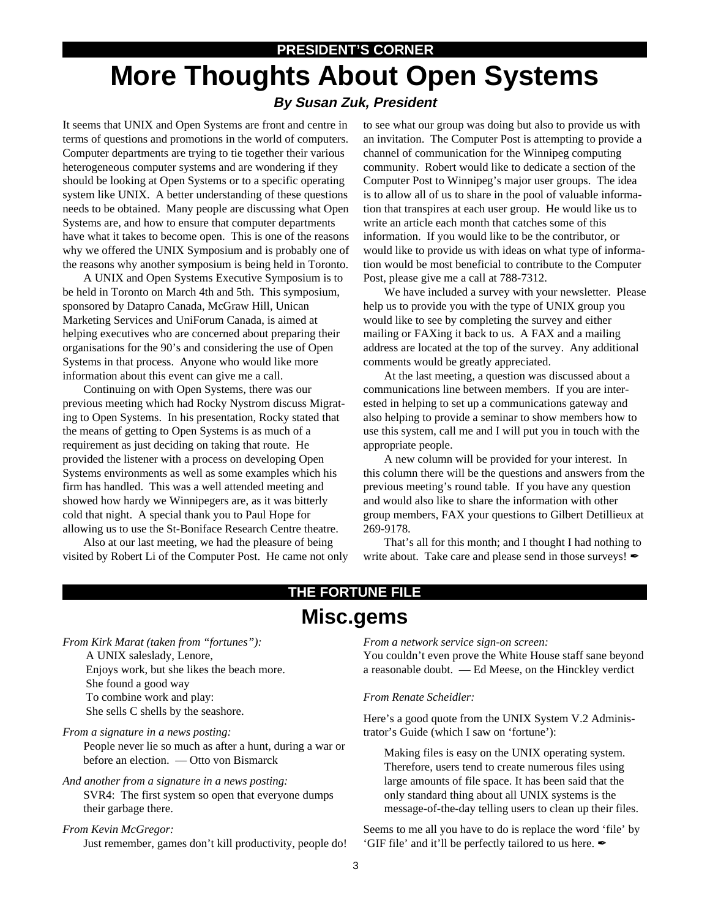#### **PRESIDENT'S CORNER**

## **More Thoughts About Open Systems By Susan Zuk, President**

It seems that UNIX and Open Systems are front and centre in terms of questions and promotions in the world of computers. Computer departments are trying to tie together their various heterogeneous computer systems and are wondering if they should be looking at Open Systems or to a specific operating system like UNIX. A better understanding of these questions needs to be obtained. Many people are discussing what Open Systems are, and how to ensure that computer departments have what it takes to become open. This is one of the reasons why we offered the UNIX Symposium and is probably one of the reasons why another symposium is being held in Toronto.

A UNIX and Open Systems Executive Symposium is to be held in Toronto on March 4th and 5th. This symposium, sponsored by Datapro Canada, McGraw Hill, Unican Marketing Services and UniForum Canada, is aimed at helping executives who are concerned about preparing their organisations for the 90's and considering the use of Open Systems in that process. Anyone who would like more information about this event can give me a call.

Continuing on with Open Systems, there was our previous meeting which had Rocky Nystrom discuss Migrating to Open Systems. In his presentation, Rocky stated that the means of getting to Open Systems is as much of a requirement as just deciding on taking that route. He provided the listener with a process on developing Open Systems environments as well as some examples which his firm has handled. This was a well attended meeting and showed how hardy we Winnipegers are, as it was bitterly cold that night. A special thank you to Paul Hope for allowing us to use the St-Boniface Research Centre theatre.

Also at our last meeting, we had the pleasure of being visited by Robert Li of the Computer Post. He came not only to see what our group was doing but also to provide us with an invitation. The Computer Post is attempting to provide a channel of communication for the Winnipeg computing community. Robert would like to dedicate a section of the Computer Post to Winnipeg's major user groups. The idea is to allow all of us to share in the pool of valuable information that transpires at each user group. He would like us to write an article each month that catches some of this information. If you would like to be the contributor, or would like to provide us with ideas on what type of information would be most beneficial to contribute to the Computer Post, please give me a call at 788-7312.

We have included a survey with your newsletter. Please help us to provide you with the type of UNIX group you would like to see by completing the survey and either mailing or FAXing it back to us. A FAX and a mailing address are located at the top of the survey. Any additional comments would be greatly appreciated.

At the last meeting, a question was discussed about a communications line between members. If you are interested in helping to set up a communications gateway and also helping to provide a seminar to show members how to use this system, call me and I will put you in touch with the appropriate people.

A new column will be provided for your interest. In this column there will be the questions and answers from the previous meeting's round table. If you have any question and would also like to share the information with other group members, FAX your questions to Gilbert Detillieux at 269-9178.

That's all for this month; and I thought I had nothing to write about. Take care and please send in those surveys!

### **Misc.gems THE FORTUNE FILE**

*From Kirk Marat (taken from "fortunes"):* A UNIX saleslady, Lenore, Enjoys work, but she likes the beach more. She found a good way To combine work and play: She sells C shells by the seashore.

*From a signature in a news posting:*

People never lie so much as after a hunt, during a war or before an election. — Otto von Bismarck

*And another from a signature in a news posting:*

SVR4: The first system so open that everyone dumps their garbage there.

*From Kevin McGregor:*

Just remember, games don't kill productivity, people do!

*From a network service sign-on screen:*

You couldn't even prove the White House staff sane beyond a reasonable doubt. — Ed Meese, on the Hinckley verdict

*From Renate Scheidler:*

Here's a good quote from the UNIX System V.2 Administrator's Guide (which I saw on 'fortune'):

Making files is easy on the UNIX operating system. Therefore, users tend to create numerous files using large amounts of file space. It has been said that the only standard thing about all UNIX systems is the message-of-the-day telling users to clean up their files.

Seems to me all you have to do is replace the word 'file' by 'GIF file' and it'll be perfectly tailored to us here. ✒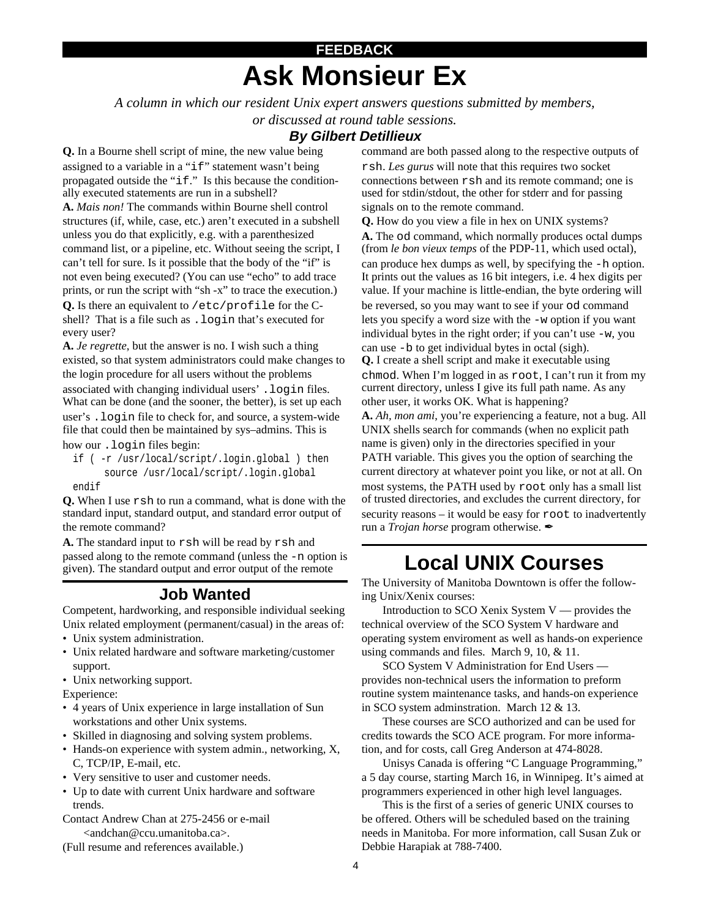# **Ask Monsieur Ex FEEDBACK**

*A column in which our resident Unix expert answers questions submitted by members,*

*or discussed at round table sessions.*

#### **By Gilbert Detillieux**

**Q.** In a Bourne shell script of mine, the new value being assigned to a variable in a "if" statement wasn't being propagated outside the "if." Is this because the conditionally executed statements are run in a subshell? **A.** *Mais non!* The commands within Bourne shell control structures (if, while, case, etc.) aren't executed in a subshell unless you do that explicitly, e.g. with a parenthesized command list, or a pipeline, etc. Without seeing the script, I can't tell for sure. Is it possible that the body of the "if" is not even being executed? (You can use "echo" to add trace prints, or run the script with "sh -x" to trace the execution.) **Q.** Is there an equivalent to /etc/profile for the Cshell? That is a file such as .login that's executed for every user?

**A.** *Je regrette*, but the answer is no. I wish such a thing existed, so that system administrators could make changes to the login procedure for all users without the problems associated with changing individual users' . login files. What can be done (and the sooner, the better), is set up each user's .login file to check for, and source, a system-wide file that could then be maintained by sys–admins. This is how our .login files begin:

if ( -r /usr/local/script/.login.global ) then source /usr/local/script/.login.global endif

**Q.** When I use rsh to run a command, what is done with the standard input, standard output, and standard error output of the remote command?

**A.** The standard input to rsh will be read by rsh and passed along to the remote command (unless the -n option is given). The standard output and error output of the remote

#### **Job Wanted**

Competent, hardworking, and responsible individual seeking Unix related employment (permanent/casual) in the areas of:

- Unix system administration.
- Unix related hardware and software marketing/customer support.
- Unix networking support.
- Experience:
- 4 years of Unix experience in large installation of Sun workstations and other Unix systems.
- Skilled in diagnosing and solving system problems.
- Hands-on experience with system admin., networking, X, C, TCP/IP, E-mail, etc.
- Very sensitive to user and customer needs.
- Up to date with current Unix hardware and software trends.
- Contact Andrew Chan at 275-2456 or e-mail <andchan@ccu.umanitoba.ca>.

(Full resume and references available.)

command are both passed along to the respective outputs of rsh. *Les gurus* will note that this requires two socket connections between rsh and its remote command; one is used for stdin/stdout, the other for stderr and for passing signals on to the remote command.

**Q.** How do you view a file in hex on UNIX systems? **A.** The od command, which normally produces octal dumps (from *le bon vieux temps* of the PDP-11, which used octal), can produce hex dumps as well, by specifying the -h option. It prints out the values as 16 bit integers, i.e. 4 hex digits per value. If your machine is little-endian, the byte ordering will be reversed, so you may want to see if your od command lets you specify a word size with the -w option if you want individual bytes in the right order; if you can't use -w, you can use -b to get individual bytes in octal (sigh). **Q.** I create a shell script and make it executable using chmod. When I'm logged in as root, I can't run it from my current directory, unless I give its full path name. As any other user, it works OK. What is happening? **A.** *Ah, mon ami*, you're experiencing a feature, not a bug. All UNIX shells search for commands (when no explicit path name is given) only in the directories specified in your PATH variable. This gives you the option of searching the current directory at whatever point you like, or not at all. On most systems, the PATH used by root only has a small list of trusted directories, and excludes the current directory, for security reasons – it would be easy for root to inadvertently

# **Local UNIX Courses**

run a *Trojan horse* program otherwise.

The University of Manitoba Downtown is offer the following Unix/Xenix courses:

Introduction to SCO Xenix System V — provides the technical overview of the SCO System V hardware and operating system enviroment as well as hands-on experience using commands and files. March 9, 10, & 11.

SCO System V Administration for End Users provides non-technical users the information to preform routine system maintenance tasks, and hands-on experience in SCO system adminstration. March 12 & 13.

These courses are SCO authorized and can be used for credits towards the SCO ACE program. For more information, and for costs, call Greg Anderson at 474-8028.

Unisys Canada is offering "C Language Programming," a 5 day course, starting March 16, in Winnipeg. It's aimed at programmers experienced in other high level languages.

This is the first of a series of generic UNIX courses to be offered. Others will be scheduled based on the training needs in Manitoba. For more information, call Susan Zuk or Debbie Harapiak at 788-7400.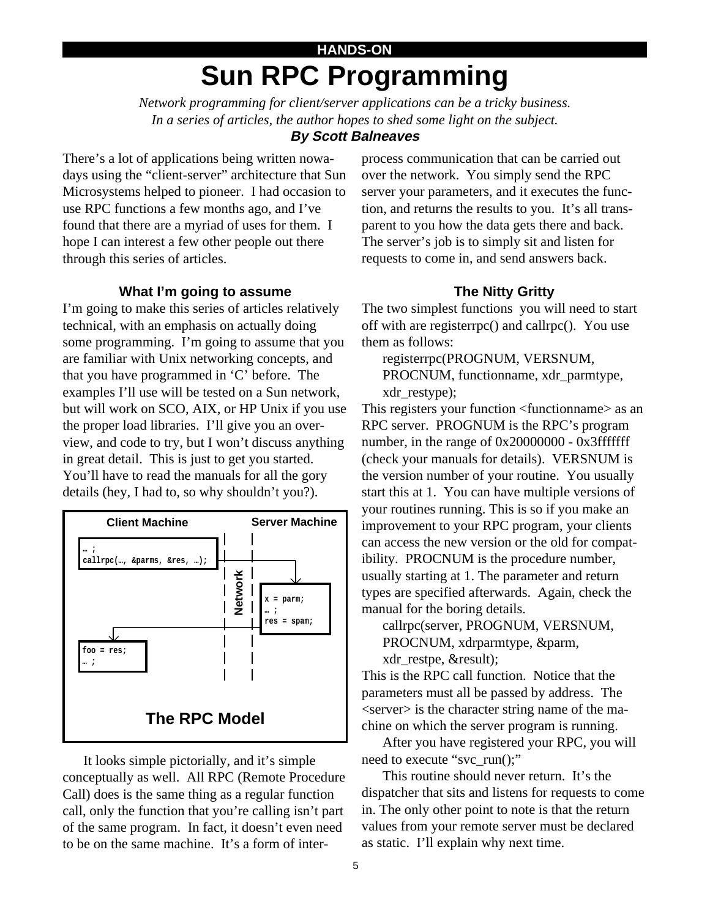# **HANDS-ON Sun RPC Programming**

*Network programming for client/server applications can be a tricky business. In a series of articles, the author hopes to shed some light on the subject.* **By Scott Balneaves**

There's a lot of applications being written nowadays using the "client-server" architecture that Sun Microsystems helped to pioneer. I had occasion to use RPC functions a few months ago, and I've found that there are a myriad of uses for them. I hope I can interest a few other people out there through this series of articles.

#### **What I'm going to assume**

I'm going to make this series of articles relatively technical, with an emphasis on actually doing some programming. I'm going to assume that you are familiar with Unix networking concepts, and that you have programmed in 'C' before. The examples I'll use will be tested on a Sun network, but will work on SCO, AIX, or HP Unix if you use the proper load libraries. I'll give you an overview, and code to try, but I won't discuss anything in great detail. This is just to get you started. You'll have to read the manuals for all the gory details (hey, I had to, so why shouldn't you?).



It looks simple pictorially, and it's simple conceptually as well. All RPC (Remote Procedure Call) does is the same thing as a regular function call, only the function that you're calling isn't part of the same program. In fact, it doesn't even need to be on the same machine. It's a form of inter-

process communication that can be carried out over the network. You simply send the RPC server your parameters, and it executes the function, and returns the results to you. It's all transparent to you how the data gets there and back. The server's job is to simply sit and listen for requests to come in, and send answers back.

#### **The Nitty Gritty**

The two simplest functions you will need to start off with are registerrpc() and callrpc(). You use them as follows:

registerrpc(PROGNUM, VERSNUM, PROCNUM, functionname, xdr\_parmtype, xdr\_restype);

This registers your function <functionname> as an RPC server. PROGNUM is the RPC's program number, in the range of  $0x20000000 - 0x3$  ffffffff (check your manuals for details). VERSNUM is the version number of your routine. You usually start this at 1. You can have multiple versions of your routines running. This is so if you make an improvement to your RPC program, your clients can access the new version or the old for compatibility. PROCNUM is the procedure number, usually starting at 1. The parameter and return types are specified afterwards. Again, check the manual for the boring details.

callrpc(server, PROGNUM, VERSNUM, PROCNUM, xdrparmtype, &parm, xdr\_restpe, &result);

This is the RPC call function. Notice that the parameters must all be passed by address. The  $\le$ server $>$  is the character string name of the machine on which the server program is running.

After you have registered your RPC, you will need to execute "svc\_run();"

This routine should never return. It's the dispatcher that sits and listens for requests to come in. The only other point to note is that the return values from your remote server must be declared as static. I'll explain why next time.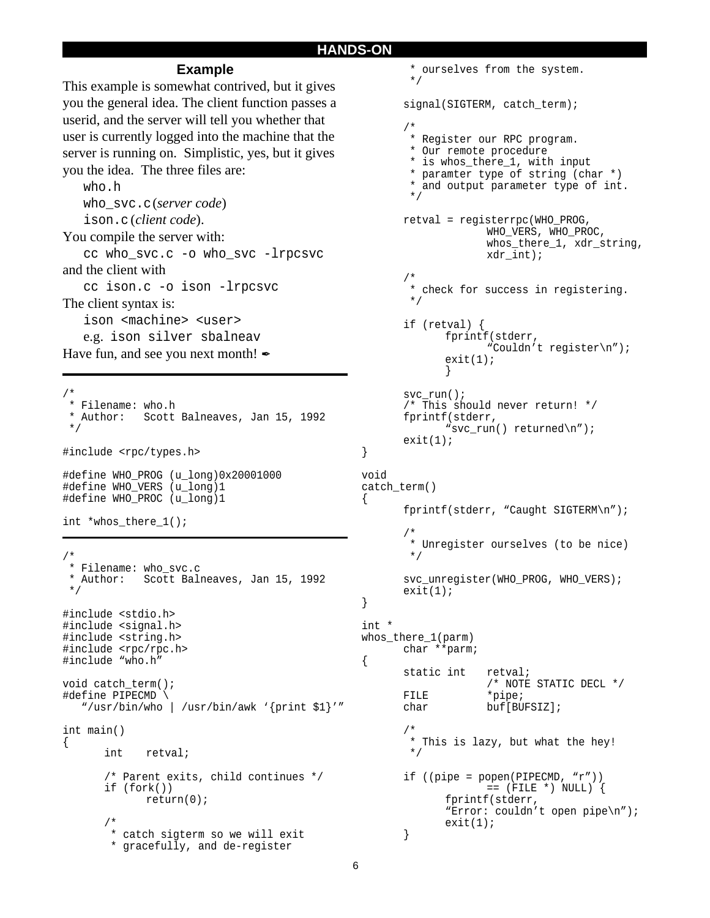#### **HANDS-ON**

}

{

}

{

void

#### **Example**

This example is somewhat contrived, but it gives you the general idea. The client function passes a userid, and the server will tell you whether that user is currently logged into the machine that the server is running on. Simplistic, yes, but it gives you the idea. The three files are:

who.h who\_svc.c (*server code*)

ison.c (*client code*).

You compile the server with:

cc who\_svc.c -o who\_svc -lrpcsvc and the client with

cc ison.c -o ison -lrpcsvc The client syntax is:

ison <machine> <user>

e.g. ison silver sbalneav

Have fun, and see you next month!

/\* \* Filename: who.h \* Author: Scott Balneaves, Jan 15, 1992 \*/ #include <rpc/types.h> #define WHO\_PROG (u\_long)0x20001000 #define WHO\_VERS (u\_long)1 #define WHO\_PROC (u\_long)1 int \*whos\_there\_1(); /\* \* Filename: who\_svc.c \* Author: Scott Balneaves, Jan 15, 1992 \*/ #include <stdio.h> #include <signal.h> #include <string.h> #include <rpc/rpc.h> #include "who.h" void catch\_term(); #define PIPECMD \ "/usr/bin/who | /usr/bin/awk '{print \$1}'" int main()  $\{$ int retval; /\* Parent exits, child continues \*/ if (fork()) return(0); /\* \* catch sigterm so we will exit

\* gracefully, and de-register

```
 * ourselves from the system.
        */
      signal(SIGTERM, catch term);
       /*
        * Register our RPC program.
        * Our remote procedure
        * is whos_there_1, with input
        * paramter type of string (char *)
        * and output parameter type of int.
        */
      retval = registerrpc(WHO_PROG,
                    WHO_VERS, WHO_PROC,
                    whos_there_1, xdr_string,
                    xdr_int);
      /*
        * check for success in registering.
        */
      if (retval) {
             fprintf(stderr,
                    "Couldn't register\n");
             exit(1);}
      svc_run();
      /* This should never return! */
      fprintf(stderr,
             "svc_run() returned\n");
      exit(1);catch_term()
      fprintf(stderr, "Caught SIGTERM\n");
       /*
        * Unregister ourselves (to be nice)
        */
      svc_unregister(WHO_PROG, WHO_VERS);
      exit(1);int *
whos_there_1(parm)
      char **parm;
      static int retval;
                    /* NOTE STATIC DECL */
      FILE *pipe;
      char buf[BUFSIZ];
       /*
        * This is lazy, but what the hey!
        */
      if ((pipe = popen(PIPECMD, "r"))
                    == (FILE *) NULL) {
             fprintf(stderr,
             "Error: couldn't open pipe\n");
             exit(1);}
```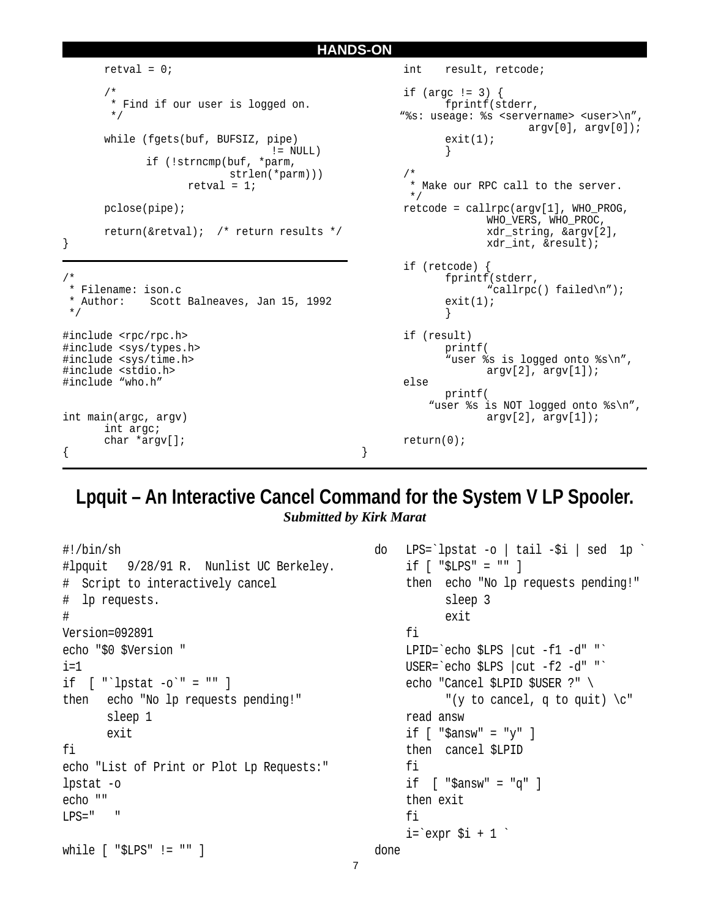```
HANDS-ON
       retval = 0;/*
        * Find if our user is logged on.
         */
      while (fgets(buf, BUFSIZ, pipe)
                                  != NULL)if (!strncmp(buf, *parm,
                          strlen(*parm)))
                    retval = 1;pclose(pipe);
      return(&retval); /* return results */
/*
  * Filename: ison.c
  * Author: Scott Balneaves, Jan 15, 1992
  */
#include <rpc/rpc.h>
#include <sys/types.h>
#include <sys/time.h>
#include <stdio.h>
#include "who.h"
int main(argc, argv)
      int argc;
      char *argv[];
                                                        int result, retcode;
                                                        if (argc != 3) {
                                                               fprintf(stderr,
                                                        "%s: useage: %s <servername> <user>\n",
                                                                            argv[0], argv[0]);exit(1);}
                                                        /*
                                                          * Make our RPC call to the server.
                                                          */
                                                        retcode = callrpc(argv[1], WHO_PROG,
                                                                     WHO_VERS, WHO_PROC,
                                                                     xdr_string, &argv[2],
                                                                     xdr_int, &result);
                                                        if (retcode) {
                                                               fprintf(stderr,
                                                                      "callrpc() failed\n");
                                                               exit(1);}
                                                        if (result)
                                                               printf(
                                                               "user %s is logged onto %s\n",
                                                                     argv[2], argv[1]);
                                                        else
                                                              printf(
                                                             "user %s is NOT logged onto %s\n",
                                                                     argv[2], argv[1]);return(0);
                                                 }
```
}

{

# **Lpquit – An Interactive Cancel Command for the System V LP Spooler.**

*Submitted by Kirk Marat*

```
#!/bin/sh
#lpquit 9/28/91 R. Nunlist UC Berkeley.
# Script to interactively cancel
# lp requests.
#
Version=092891
echo "$0 $Version "
i=1if [ "'lpstat -0'" = "" ]
then echo "No lp requests pending!"
       sleep 1
       exit
fi
echo "List of Print or Plot Lp Requests:"
lpstat -o
echo ""
LPS = "while [ "$LPS" != "" ]
                                                  do LPS=`lpstat -o | tail -$i | sed 1p `
                                                      if [ "$LPS" = "" ]
                                                      then echo "No lp requests pending!"
                                                            sleep 3
                                                            exit
                                                      fi
                                                      LPID=`echo $LPS | cut -f1 -d" "`
                                                      USER=`echo $LPS |cut -f2 -d" "`
                                                      echo "Cancel $LPID $USER ?" \
                                                            "(y to cancel, q to quit) \c"
                                                      read answ
                                                      if [ "\frac{2}{3}answ" = "y" ]
                                                      then cancel $LPID
                                                      fi
                                                      if [ "$answ" = "q" ]
                                                      then exit
                                                      fi
                                                      i=`expr $i + 1 done
```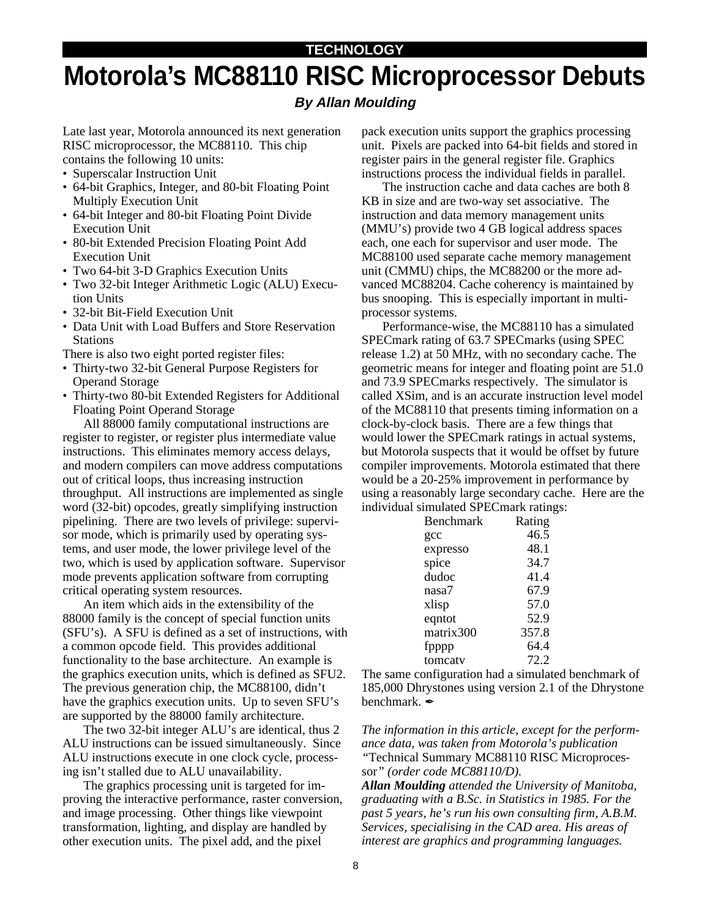# **Motorola's MC88110 RISC Microprocessor Debuts TECHNOLOGY**

#### **By Allan Moulding**

Late last year, Motorola announced its next generation RISC microprocessor, the MC88110. This chip contains the following 10 units:

- Superscalar Instruction Unit
- 64-bit Graphics, Integer, and 80-bit Floating Point Multiply Execution Unit
- 64-bit Integer and 80-bit Floating Point Divide Execution Unit
- 80-bit Extended Precision Floating Point Add Execution Unit
- Two 64-bit 3-D Graphics Execution Units
- Two 32-bit Integer Arithmetic Logic (ALU) Execution Units
- 32-bit Bit-Field Execution Unit
- Data Unit with Load Buffers and Store Reservation Stations

There is also two eight ported register files:

- Thirty-two 32-bit General Purpose Registers for Operand Storage
- Thirty-two 80-bit Extended Registers for Additional Floating Point Operand Storage

All 88000 family computational instructions are register to register, or register plus intermediate value instructions. This eliminates memory access delays, and modern compilers can move address computations out of critical loops, thus increasing instruction throughput. All instructions are implemented as single word (32-bit) opcodes, greatly simplifying instruction pipelining. There are two levels of privilege: supervisor mode, which is primarily used by operating systems, and user mode, the lower privilege level of the two, which is used by application software. Supervisor mode prevents application software from corrupting critical operating system resources.

An item which aids in the extensibility of the 88000 family is the concept of special function units (SFU's). A SFU is defined as a set of instructions, with a common opcode field. This provides additional functionality to the base architecture. An example is the graphics execution units, which is defined as SFU2. The previous generation chip, the MC88100, didn't have the graphics execution units. Up to seven SFU's are supported by the 88000 family architecture.

The two 32-bit integer ALU's are identical, thus 2 ALU instructions can be issued simultaneously. Since ALU instructions execute in one clock cycle, processing isn't stalled due to ALU unavailability.

The graphics processing unit is targeted for improving the interactive performance, raster conversion, and image processing. Other things like viewpoint transformation, lighting, and display are handled by other execution units. The pixel add, and the pixel

pack execution units support the graphics processing unit. Pixels are packed into 64-bit fields and stored in register pairs in the general register file. Graphics instructions process the individual fields in parallel.

The instruction cache and data caches are both 8 KB in size and are two-way set associative. The instruction and data memory management units (MMU's) provide two 4 GB logical address spaces each, one each for supervisor and user mode. The MC88100 used separate cache memory management unit (CMMU) chips, the MC88200 or the more advanced MC88204. Cache coherency is maintained by bus snooping. This is especially important in multiprocessor systems.

Performance-wise, the MC88110 has a simulated SPECmark rating of 63.7 SPECmarks (using SPEC release 1.2) at 50 MHz, with no secondary cache. The geometric means for integer and floating point are 51.0 and 73.9 SPECmarks respectively. The simulator is called XSim, and is an accurate instruction level model of the MC88110 that presents timing information on a clock-by-clock basis. There are a few things that would lower the SPECmark ratings in actual systems, but Motorola suspects that it would be offset by future compiler improvements. Motorola estimated that there would be a 20-25% improvement in performance by using a reasonably large secondary cache. Here are the individual simulated SPECmark ratings:

| <b>Benchmark</b> | Rating |
|------------------|--------|
| gcc              | 46.5   |
| expresso         | 48.1   |
| spice            | 34.7   |
| dudoc            | 41.4   |
| nasa7            | 67.9   |
| xlisp            | 57.0   |
| eqntot           | 52.9   |
| matrix300        | 357.8  |
| fpppp            | 64.4   |
| tomcaty          | 72.2   |
|                  |        |

The same configuration had a simulated benchmark of 185,000 Dhrystones using version 2.1 of the Dhrystone benchmark.

*The information in this article, except for the performance data, was taken from Motorola's publication "*Technical Summary MC88110 RISC Microproces-

sor*" (order code MC88110/D).*

*Allan Moulding attended the University of Manitoba, graduating with a B.Sc. in Statistics in 1985. For the past 5 years, he's run his own consulting firm, A.B.M. Services, specialising in the CAD area. His areas of interest are graphics and programming languages.*